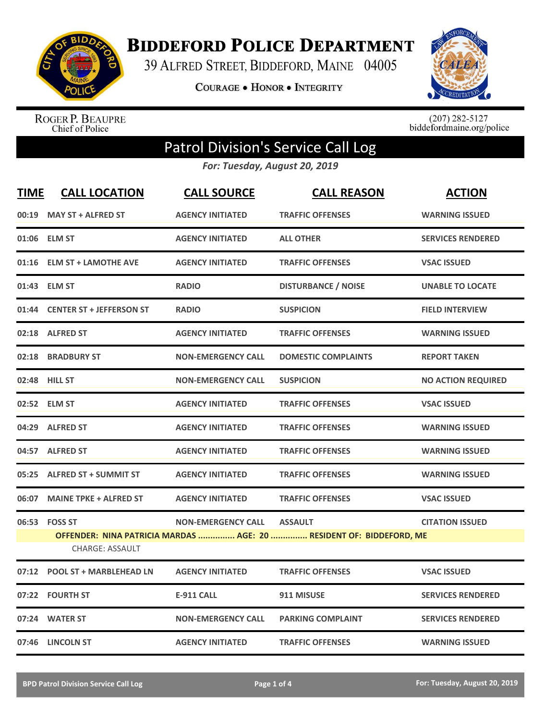

**BIDDEFORD POLICE DEPARTMENT** 

39 ALFRED STREET, BIDDEFORD, MAINE 04005

**COURAGE . HONOR . INTEGRITY** 



ROGER P. BEAUPRE<br>Chief of Police

 $(207)$  282-5127<br>biddefordmaine.org/police

## Patrol Division's Service Call Log

*For: Tuesday, August 20, 2019*

| <b>TIME</b> | <b>CALL LOCATION</b>                    | <b>CALL SOURCE</b>        | <b>CALL REASON</b>                                                                    | <b>ACTION</b>             |
|-------------|-----------------------------------------|---------------------------|---------------------------------------------------------------------------------------|---------------------------|
|             | 00:19 MAY ST + ALFRED ST                | <b>AGENCY INITIATED</b>   | <b>TRAFFIC OFFENSES</b>                                                               | <b>WARNING ISSUED</b>     |
|             | 01:06 ELM ST                            | <b>AGENCY INITIATED</b>   | <b>ALL OTHER</b>                                                                      | <b>SERVICES RENDERED</b>  |
| 01:16       | <b>ELM ST + LAMOTHE AVE</b>             | <b>AGENCY INITIATED</b>   | <b>TRAFFIC OFFENSES</b>                                                               | <b>VSAC ISSUED</b>        |
|             | 01:43 ELM ST                            | <b>RADIO</b>              | <b>DISTURBANCE / NOISE</b>                                                            | <b>UNABLE TO LOCATE</b>   |
|             | 01:44 CENTER ST + JEFFERSON ST          | <b>RADIO</b>              | <b>SUSPICION</b>                                                                      | <b>FIELD INTERVIEW</b>    |
|             | 02:18 ALFRED ST                         | <b>AGENCY INITIATED</b>   | <b>TRAFFIC OFFENSES</b>                                                               | <b>WARNING ISSUED</b>     |
|             | 02:18 BRADBURY ST                       | <b>NON-EMERGENCY CALL</b> | <b>DOMESTIC COMPLAINTS</b>                                                            | <b>REPORT TAKEN</b>       |
|             | 02:48 HILL ST                           | <b>NON-EMERGENCY CALL</b> | <b>SUSPICION</b>                                                                      | <b>NO ACTION REQUIRED</b> |
|             | 02:52 ELM ST                            | <b>AGENCY INITIATED</b>   | <b>TRAFFIC OFFENSES</b>                                                               | <b>VSAC ISSUED</b>        |
|             | 04:29 ALFRED ST                         | <b>AGENCY INITIATED</b>   | <b>TRAFFIC OFFENSES</b>                                                               | <b>WARNING ISSUED</b>     |
|             | 04:57 ALFRED ST                         | <b>AGENCY INITIATED</b>   | <b>TRAFFIC OFFENSES</b>                                                               | <b>WARNING ISSUED</b>     |
| 05:25       | <b>ALFRED ST + SUMMIT ST</b>            | <b>AGENCY INITIATED</b>   | <b>TRAFFIC OFFENSES</b>                                                               | <b>WARNING ISSUED</b>     |
| 06:07       | <b>MAINE TPKE + ALFRED ST</b>           | <b>AGENCY INITIATED</b>   | <b>TRAFFIC OFFENSES</b>                                                               | <b>VSAC ISSUED</b>        |
|             | 06:53 FOSS ST<br><b>CHARGE: ASSAULT</b> | <b>NON-EMERGENCY CALL</b> | <b>ASSAULT</b><br>OFFENDER: NINA PATRICIA MARDAS  AGE: 20  RESIDENT OF: BIDDEFORD, ME | <b>CITATION ISSUED</b>    |
|             | 07:12 POOL ST + MARBLEHEAD LN           | <b>AGENCY INITIATED</b>   | <b>TRAFFIC OFFENSES</b>                                                               | <b>VSAC ISSUED</b>        |
| 07:22       | <b>FOURTH ST</b>                        | <b>E-911 CALL</b>         | 911 MISUSE                                                                            | <b>SERVICES RENDERED</b>  |
|             | 07:24 WATER ST                          | <b>NON-EMERGENCY CALL</b> | <b>PARKING COMPLAINT</b>                                                              | <b>SERVICES RENDERED</b>  |
|             | 07:46 LINCOLN ST                        | <b>AGENCY INITIATED</b>   | <b>TRAFFIC OFFENSES</b>                                                               | <b>WARNING ISSUED</b>     |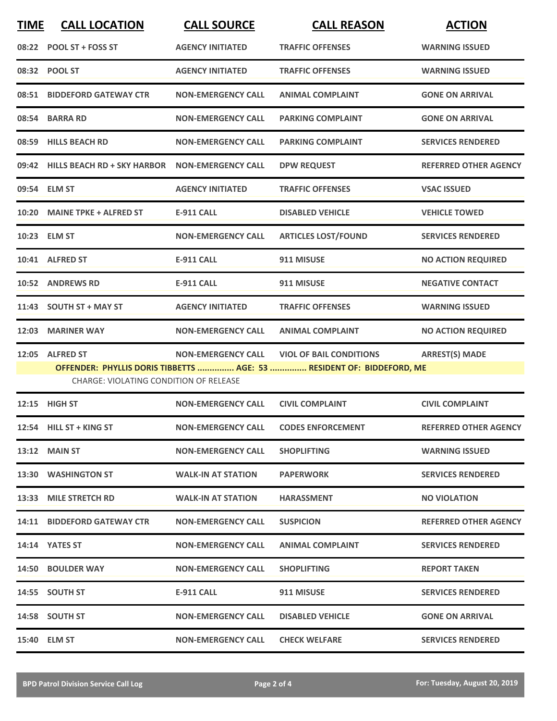| <b>TIME</b> | <b>CALL LOCATION</b>                          | <b>CALL SOURCE</b>        | <b>CALL REASON</b>                                                    | <b>ACTION</b>                |
|-------------|-----------------------------------------------|---------------------------|-----------------------------------------------------------------------|------------------------------|
|             | 08:22 POOL ST + FOSS ST                       | <b>AGENCY INITIATED</b>   | <b>TRAFFIC OFFENSES</b>                                               | <b>WARNING ISSUED</b>        |
|             | 08:32 POOL ST                                 | <b>AGENCY INITIATED</b>   | <b>TRAFFIC OFFENSES</b>                                               | <b>WARNING ISSUED</b>        |
|             | 08:51 BIDDEFORD GATEWAY CTR                   | <b>NON-EMERGENCY CALL</b> | <b>ANIMAL COMPLAINT</b>                                               | <b>GONE ON ARRIVAL</b>       |
|             | 08:54 BARRA RD                                | <b>NON-EMERGENCY CALL</b> | <b>PARKING COMPLAINT</b>                                              | <b>GONE ON ARRIVAL</b>       |
|             | 08:59 HILLS BEACH RD                          | <b>NON-EMERGENCY CALL</b> | <b>PARKING COMPLAINT</b>                                              | <b>SERVICES RENDERED</b>     |
|             | 09:42 HILLS BEACH RD + SKY HARBOR             | <b>NON-EMERGENCY CALL</b> | <b>DPW REQUEST</b>                                                    | <b>REFERRED OTHER AGENCY</b> |
|             | 09:54 ELM ST                                  | <b>AGENCY INITIATED</b>   | <b>TRAFFIC OFFENSES</b>                                               | <b>VSAC ISSUED</b>           |
|             | 10:20 MAINE TPKE + ALFRED ST                  | <b>E-911 CALL</b>         | <b>DISABLED VEHICLE</b>                                               | <b>VEHICLE TOWED</b>         |
|             | 10:23 ELM ST                                  | <b>NON-EMERGENCY CALL</b> | <b>ARTICLES LOST/FOUND</b>                                            | <b>SERVICES RENDERED</b>     |
|             | 10:41 ALFRED ST                               | <b>E-911 CALL</b>         | 911 MISUSE                                                            | <b>NO ACTION REQUIRED</b>    |
|             | 10:52 ANDREWS RD                              | <b>E-911 CALL</b>         | 911 MISUSE                                                            | <b>NEGATIVE CONTACT</b>      |
|             | 11:43 SOUTH ST + MAY ST                       | <b>AGENCY INITIATED</b>   | <b>TRAFFIC OFFENSES</b>                                               | <b>WARNING ISSUED</b>        |
| 12:03       | <b>MARINER WAY</b>                            | <b>NON-EMERGENCY CALL</b> | <b>ANIMAL COMPLAINT</b>                                               | <b>NO ACTION REQUIRED</b>    |
|             | 12:05 ALFRED ST                               | <b>NON-EMERGENCY CALL</b> | <b>VIOL OF BAIL CONDITIONS</b>                                        | <b>ARREST(S) MADE</b>        |
|             | <b>CHARGE: VIOLATING CONDITION OF RELEASE</b> |                           | OFFENDER: PHYLLIS DORIS TIBBETTS  AGE: 53  RESIDENT OF: BIDDEFORD, ME |                              |
|             | 12:15 HIGH ST                                 | <b>NON-EMERGENCY CALL</b> | <b>CIVIL COMPLAINT</b>                                                | <b>CIVIL COMPLAINT</b>       |
|             | 12:54 HILL ST + KING ST                       | <b>NON-EMERGENCY CALL</b> | <b>CODES ENFORCEMENT</b>                                              | <b>REFERRED OTHER AGENCY</b> |
|             | <b>13:12 MAIN ST</b>                          | <b>NON-EMERGENCY CALL</b> | <b>SHOPLIFTING</b>                                                    | <b>WARNING ISSUED</b>        |
|             | 13:30 WASHINGTON ST                           | <b>WALK-IN AT STATION</b> | <b>PAPERWORK</b>                                                      | <b>SERVICES RENDERED</b>     |
|             | 13:33 MILE STRETCH RD                         | WALK-IN AT STATION        | <b>HARASSMENT</b>                                                     | <b>NO VIOLATION</b>          |
|             | 14:11 BIDDEFORD GATEWAY CTR                   | <b>NON-EMERGENCY CALL</b> | <b>SUSPICION</b>                                                      | <b>REFERRED OTHER AGENCY</b> |
|             | 14:14 YATES ST                                | <b>NON-EMERGENCY CALL</b> | <b>ANIMAL COMPLAINT</b>                                               | <b>SERVICES RENDERED</b>     |
|             | <b>14:50 BOULDER WAY</b>                      | <b>NON-EMERGENCY CALL</b> | <b>SHOPLIFTING</b>                                                    | <b>REPORT TAKEN</b>          |
|             | 14:55 SOUTH ST                                | E-911 CALL                | 911 MISUSE                                                            | <b>SERVICES RENDERED</b>     |
|             | 14:58 SOUTH ST                                | <b>NON-EMERGENCY CALL</b> | <b>DISABLED VEHICLE</b>                                               | <b>GONE ON ARRIVAL</b>       |
|             | 15:40 ELM ST                                  | <b>NON-EMERGENCY CALL</b> | <b>CHECK WELFARE</b>                                                  | <b>SERVICES RENDERED</b>     |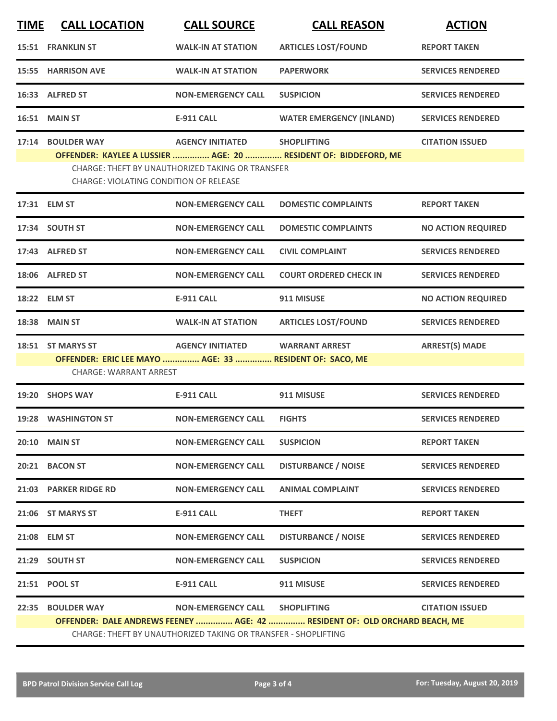| <b>TIME</b> | <b>CALL LOCATION</b>                                                                                                                         | <b>CALL SOURCE</b>                                      | <b>CALL REASON</b>                                              | <b>ACTION</b>             |  |  |
|-------------|----------------------------------------------------------------------------------------------------------------------------------------------|---------------------------------------------------------|-----------------------------------------------------------------|---------------------------|--|--|
|             | <b>15:51 FRANKLIN ST</b>                                                                                                                     | <b>WALK-IN AT STATION</b>                               | <b>ARTICLES LOST/FOUND</b>                                      | <b>REPORT TAKEN</b>       |  |  |
|             | <b>15:55 HARRISON AVE</b>                                                                                                                    | <b>WALK-IN AT STATION</b>                               | <b>PAPERWORK</b>                                                | <b>SERVICES RENDERED</b>  |  |  |
|             | 16:33 ALFRED ST                                                                                                                              | <b>NON-EMERGENCY CALL</b>                               | <b>SUSPICION</b>                                                | <b>SERVICES RENDERED</b>  |  |  |
|             | 16:51 MAIN ST                                                                                                                                | <b>E-911 CALL</b>                                       | <b>WATER EMERGENCY (INLAND)</b>                                 | <b>SERVICES RENDERED</b>  |  |  |
| 17:14       | <b>BOULDER WAY</b>                                                                                                                           | <b>AGENCY INITIATED</b>                                 | <b>SHOPLIFTING</b>                                              | <b>CITATION ISSUED</b>    |  |  |
|             |                                                                                                                                              | <b>CHARGE: THEFT BY UNAUTHORIZED TAKING OR TRANSFER</b> | OFFENDER: KAYLEE A LUSSIER  AGE: 20  RESIDENT OF: BIDDEFORD, ME |                           |  |  |
|             | <b>CHARGE: VIOLATING CONDITION OF RELEASE</b>                                                                                                |                                                         |                                                                 |                           |  |  |
|             | 17:31 ELM ST                                                                                                                                 | <b>NON-EMERGENCY CALL</b>                               | <b>DOMESTIC COMPLAINTS</b>                                      | <b>REPORT TAKEN</b>       |  |  |
|             | 17:34 SOUTH ST                                                                                                                               | <b>NON-EMERGENCY CALL</b>                               | <b>DOMESTIC COMPLAINTS</b>                                      | <b>NO ACTION REQUIRED</b> |  |  |
|             | 17:43 ALFRED ST                                                                                                                              | <b>NON-EMERGENCY CALL</b>                               | <b>CIVIL COMPLAINT</b>                                          | <b>SERVICES RENDERED</b>  |  |  |
|             | 18:06 ALFRED ST                                                                                                                              | <b>NON-EMERGENCY CALL</b>                               | <b>COURT ORDERED CHECK IN</b>                                   | <b>SERVICES RENDERED</b>  |  |  |
|             | 18:22 ELM ST                                                                                                                                 | <b>E-911 CALL</b>                                       | 911 MISUSE                                                      | <b>NO ACTION REQUIRED</b> |  |  |
| 18:38       | <b>MAIN ST</b>                                                                                                                               | <b>WALK-IN AT STATION</b>                               | <b>ARTICLES LOST/FOUND</b>                                      | <b>SERVICES RENDERED</b>  |  |  |
|             | 18:51 ST MARYS ST                                                                                                                            | <b>AGENCY INITIATED</b>                                 | <b>WARRANT ARREST</b>                                           | <b>ARREST(S) MADE</b>     |  |  |
|             | <b>CHARGE: WARRANT ARREST</b>                                                                                                                | OFFENDER: ERIC LEE MAYO  AGE: 33  RESIDENT OF: SACO, ME |                                                                 |                           |  |  |
| 19:20       | <b>SHOPS WAY</b>                                                                                                                             | <b>E-911 CALL</b>                                       | 911 MISUSE                                                      | <b>SERVICES RENDERED</b>  |  |  |
|             | 19:28 WASHINGTON ST                                                                                                                          | <b>NON-EMERGENCY CALL</b>                               | <b>FIGHTS</b>                                                   | <b>SERVICES RENDERED</b>  |  |  |
|             | <b>20:10 MAIN ST</b>                                                                                                                         | <b>NON-EMERGENCY CALL</b>                               | <b>SUSPICION</b>                                                | <b>REPORT TAKEN</b>       |  |  |
|             | 20:21 BACON ST                                                                                                                               | <b>NON-EMERGENCY CALL</b>                               | <b>DISTURBANCE / NOISE</b>                                      | <b>SERVICES RENDERED</b>  |  |  |
|             | 21:03 PARKER RIDGE RD                                                                                                                        | <b>NON-EMERGENCY CALL</b>                               | <b>ANIMAL COMPLAINT</b>                                         | <b>SERVICES RENDERED</b>  |  |  |
|             | 21:06 ST MARYS ST                                                                                                                            | <b>E-911 CALL</b>                                       | <b>THEFT</b>                                                    | <b>REPORT TAKEN</b>       |  |  |
|             | 21:08 ELM ST                                                                                                                                 | <b>NON-EMERGENCY CALL</b>                               | <b>DISTURBANCE / NOISE</b>                                      | <b>SERVICES RENDERED</b>  |  |  |
|             | 21:29 SOUTH ST                                                                                                                               | <b>NON-EMERGENCY CALL</b>                               | <b>SUSPICION</b>                                                | <b>SERVICES RENDERED</b>  |  |  |
|             | 21:51 POOL ST                                                                                                                                | <b>E-911 CALL</b>                                       | 911 MISUSE                                                      | <b>SERVICES RENDERED</b>  |  |  |
| 22:35       | <b>BOULDER WAY</b>                                                                                                                           | <b>NON-EMERGENCY CALL</b>                               | <b>SHOPLIFTING</b>                                              | <b>CITATION ISSUED</b>    |  |  |
|             | OFFENDER: DALE ANDREWS FEENEY  AGE: 42  RESIDENT OF: OLD ORCHARD BEACH, ME<br>CHARGE: THEFT BY UNAUTHORIZED TAKING OR TRANSFER - SHOPLIFTING |                                                         |                                                                 |                           |  |  |
|             |                                                                                                                                              |                                                         |                                                                 |                           |  |  |